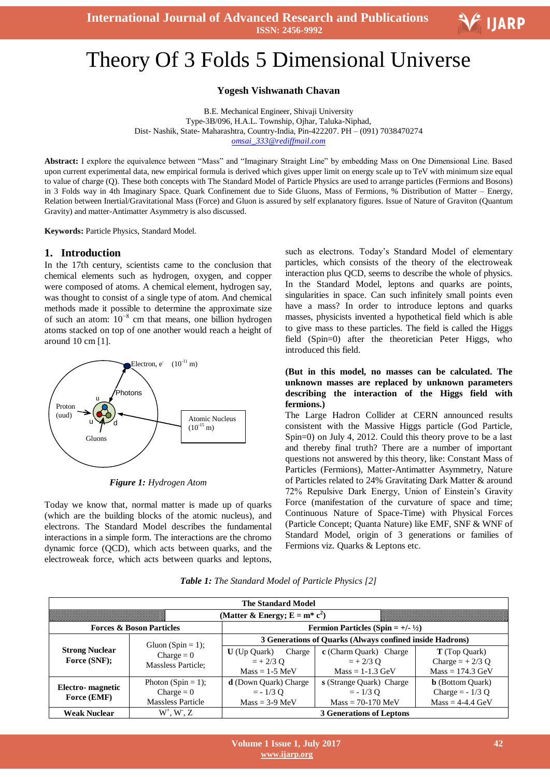**International Journal of Advanced Research and Publications ISSN: 2456-9992**



# Ξ Theory Of 3 Folds 5 Dimensional Universe

**Yogesh Vishwanath Chavan**

B.E. Mechanical Engineer, Shivaji University Type-3B/096, H.A.L. Township, Ojhar, Taluka-Niphad, Dist- Nashik, State- Maharashtra, Country-India, Pin-422207. PH – (091) 7038470274 *omsai\_333@rediffmail.com*

**Abstract:** I explore the equivalence between "Mass" and "Imaginary Straight Line" by embedding Mass on One Dimensional Line. Based upon current experimental data, new empirical formula is derived which gives upper limit on energy scale up to TeV with minimum size equal to value of charge (Q). These both concepts with The Standard Model of Particle Physics are used to arrange particles (Fermions and Bosons) in 3 Folds way in 4th Imaginary Space. Quark Confinement due to Side Gluons, Mass of Fermions, % Distribution of Matter – Energy, Relation between Inertial/Gravitational Mass (Force) and Gluon is assured by self explanatory figures. Issue of Nature of Graviton (Quantum Gravity) and matter-Antimatter Asymmetry is also discussed.

**Keywords:** Particle Physics, Standard Model.

#### **1. Introduction**

In the 17th century, scientists came to the conclusion that chemical elements such as hydrogen, oxygen, and copper were composed of atoms. A chemical element, hydrogen say, was thought to consist of a single type of atom. And chemical methods made it possible to determine the approximate size of such an atom:  $10^{-8}$  cm that means, one billion hydrogen atoms stacked on top of one another would reach a height of around 10 cm [1].



*Figure 1: Hydrogen Atom*

Today we know that, normal matter is made up of quarks (which are the building blocks of the atomic nucleus), and electrons. The Standard Model describes the fundamental interactions in a simple form. The interactions are the chromo dynamic force (QCD), which acts between quarks, and the electroweak force, which acts between quarks and leptons,

such as electrons. Today's Standard Model of elementary particles, which consists of the theory of the electroweak interaction plus QCD, seems to describe the whole of physics. In the Standard Model, leptons and quarks are points, singularities in space. Can such infinitely small points even have a mass? In order to introduce leptons and quarks masses, physicists invented a hypothetical field which is able to give mass to these particles. The field is called the Higgs field (Spin=0) after the theoretician Peter Higgs, who introduced this field.

#### **(But in this model, no masses can be calculated. The unknown masses are replaced by unknown parameters describing the interaction of the Higgs field with fermions.)**

The Large Hadron Collider at CERN announced results consistent with the Massive Higgs particle (God Particle, Spin=0) on July 4, 2012. Could this theory prove to be a last and thereby final truth? There are a number of important questions not answered by this theory, like: Constant Mass of Particles (Fermions), Matter-Antimatter Asymmetry, Nature of Particles related to 24% Gravitating Dark Matter & around 72% Repulsive Dark Energy, Union of Einstein's Gravity Force (manifestation of the curvature of space and time; Continuous Nature of Space-Time) with Physical Forces (Particle Concept; Quanta Nature) like EMF, SNF & WNF of Standard Model, origin of 3 generations or families of Fermions viz. Quarks & Leptons etc.

*Table 1: The Standard Model of Particle Physics [2]*

| <b>The Standard Model</b>             |                                                                |                                                                |                          |                            |  |  |  |
|---------------------------------------|----------------------------------------------------------------|----------------------------------------------------------------|--------------------------|----------------------------|--|--|--|
|                                       |                                                                | (Matter & Energy; $E = m^* c^2$ )                              |                          |                            |  |  |  |
| <b>Forces &amp; Boson Particles</b>   |                                                                | <b>Fermion Particles (Spin = +/- <math>\frac{1}{2}</math>)</b> |                          |                            |  |  |  |
| <b>Strong Nuclear</b><br>Force (SNF); | Gluon (Spin = 1);<br>$Change = 0$<br><b>Massless Particle:</b> | 3 Generations of Quarks (Always confined inside Hadrons)       |                          |                            |  |  |  |
|                                       |                                                                | Charge<br>$U$ (Up Quark)                                       | c (Charm Quark) Charge   | <b>T</b> (Top Quark)       |  |  |  |
|                                       |                                                                | $= +2/3$ O                                                     | $= +2/3$ O               | Charge $= +2/3$ Q          |  |  |  |
|                                       |                                                                | $Mass = 1-5$ MeV                                               | $Mass = 1-1.3$ GeV       | $Mass = 174.3$ GeV         |  |  |  |
| Electro-magnetic<br>Force (EMF)       | Photon (Spin = 1);                                             | <b>d</b> (Down Quark) Charge                                   | s (Strange Quark) Charge | <b>b</b> (Bottom Quark)    |  |  |  |
|                                       | $Change = 0$                                                   | $= -1/3$ O                                                     | $= -1/3$ O               | Charge = $-1/3$ Q          |  |  |  |
|                                       | <b>Massless Particle</b>                                       | $Mass = 3-9$ MeV                                               | $Mass = 70-170$ MeV      | $Mass = 4-4.4 \text{ GeV}$ |  |  |  |
| <b>Weak Nuclear</b>                   | $W^+$ , $W$ , $Z$                                              | <b>3 Generations of Leptons</b>                                |                          |                            |  |  |  |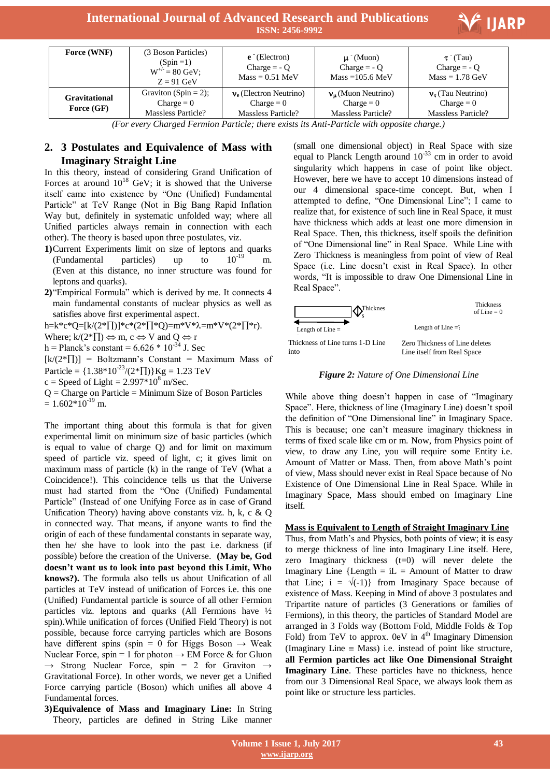# **International Journal of Advanced Research and Publications ISSN: 2456-9992**



| Force (WNF)                 | (3 Boson Particles)<br>$(Spin = 1)$<br>$W^{+\prime} = 80 \text{ GeV};$<br>$Z = 91$ GeV | $e^{\text{-}}$ (Electron)<br>Charge $= -0$<br>$Mass = 0.51$ MeV | $\mu$ (Muon)<br>Charge $= -Q$<br>$Mass = 105.6$ MeV             | $\tau$ (Tau)<br>Charge $= -Q$<br>$Mass = 1.78$ GeV              |
|-----------------------------|----------------------------------------------------------------------------------------|-----------------------------------------------------------------|-----------------------------------------------------------------|-----------------------------------------------------------------|
| Gravitational<br>Force (GF) | Graviton (Spin $= 2$ );<br>$Change = 0$<br>Massless Particle?                          | $v_e$ (Electron Neutrino)<br>$Change = 0$<br>Massless Particle? | $v_{\mu}$ (Muon Neutrino)<br>$Change = 0$<br>Massless Particle? | $v_{\tau}$ (Tau Neutrino)<br>$Change = 0$<br>Massless Particle? |

*(For every Charged Fermion Particle; there exists its Anti-Particle with opposite charge.)*

## **2. 3 Postulates and Equivalence of Mass with Imaginary Straight Line**

In this theory, instead of considering Grand Unification of Forces at around  $10^{18}$  GeV; it is showed that the Universe itself came into existence by "One (Unified) Fundamental Particle" at TeV Range (Not in Big Bang Rapid Inflation Way but, definitely in systematic unfolded way; where all Unified particles always remain in connection with each other). The theory is based upon three postulates, viz.

- **1)**Current Experiments limit on size of leptons and quarks (Fundamental particles) up to  $10^{-19}$  m. (Even at this distance, no inner structure was found for leptons and quarks).
- **2)**"Empirical Formula" which is derived by me. It connects 4 main fundamental constants of nuclear physics as well as satisfies above first experimental aspect.

h=k\*c\*Q=[k/(2\* $\prod$ )]\*c\*(2\* $\prod$ \*Q)=m\*V\* $\lambda$ =m\*V\*(2\* $\prod$ \*r).

Where;  $k/(2^*\Pi) \Leftrightarrow m, c \Leftrightarrow V$  and  $Q \Leftrightarrow r$ 

h = Planck's constant =  $6.626 * 10^{-34}$  J. Sec

 $[k/(2*\Pi)]$  = Boltzmann's Constant = Maximum Mass of Particle =  ${1.38*10^{23}}/(2*\Pi)$  Kg = 1.23 TeV

 $c = Speed of Light = 2.997*10<sup>8</sup> m/Sec.$ 

 $Q =$ Charge on Particle = Minimum Size of Boson Particles  $= 1.602*10^{-19}$  m.

The important thing about this formula is that for given experimental limit on minimum size of basic particles (which is equal to value of charge Q) and for limit on maximum speed of particle viz. speed of light, c; it gives limit on maximum mass of particle (k) in the range of TeV (What a Coincidence!). This coincidence tells us that the Universe must had started from the "One (Unified) Fundamental Particle" (Instead of one Unifying Force as in case of Grand Unification Theory) having above constants viz. h, k, c & Q in connected way. That means, if anyone wants to find the origin of each of these fundamental constants in separate way, then he/ she have to look into the past i.e. darkness (if possible) before the creation of the Universe. **(May be, God doesn't want us to look into past beyond this Limit, Who knows?).** The formula also tells us about Unification of all particles at TeV instead of unification of Forces i.e. this one (Unified) Fundamental particle is source of all other Fermion particles viz. leptons and quarks (All Fermions have ½ spin).While unification of forces (Unified Field Theory) is not possible, because force carrying particles which are Bosons have different spins (spin = 0 for Higgs Boson  $\rightarrow$  Weak Nuclear Force, spin = 1 for photon  $\rightarrow$  EM Force & for Gluon  $\rightarrow$  Strong Nuclear Force, spin = 2 for Graviton  $\rightarrow$ Gravitational Force). In other words, we never get a Unified Force carrying particle (Boson) which unifies all above 4 Fundamental forces.

**3)Equivalence of Mass and Imaginary Line:** In String Theory, particles are defined in String Like manner

(small one dimensional object) in Real Space with size equal to Planck Length around  $10^{-33}$  cm in order to avoid singularity which happens in case of point like object. However, here we have to accept 10 dimensions instead of our 4 dimensional space-time concept. But, when I attempted to define, "One Dimensional Line"; I came to realize that, for existence of such line in Real Space, it must have thickness which adds at least one more dimension in Real Space. Then, this thickness, itself spoils the definition of "One Dimensional line" in Real Space. While Line with Zero Thickness is meaningless from point of view of Real Space (i.e. Line doesn't exist in Real Space). In other words, "It is impossible to draw One Dimensional Line in Real Space".



#### *Figure 2: Nature of One Dimensional Line*

While above thing doesn't happen in case of "Imaginary Space". Here, thickness of line (Imaginary Line) doesn't spoil the definition of "One Dimensional line" in Imaginary Space. This is because; one can't measure imaginary thickness in terms of fixed scale like cm or m. Now, from Physics point of view, to draw any Line, you will require some Entity i.e. Amount of Matter or Mass. Then, from above Math's point of view, Mass should never exist in Real Space because of No Existence of One Dimensional Line in Real Space. While in Imaginary Space, Mass should embed on Imaginary Line itself.

#### **Mass is Equivalent to Length of Straight Imaginary Line**

Thus, from Math's and Physics, both points of view; it is easy to merge thickness of line into Imaginary Line itself. Here, zero Imaginary thickness  $(t=0)$  will never delete the Imaginary Line  ${Length = iL = Amount of Matter to draw}$ that Line;  $i = \sqrt{(-1)}$  from Imaginary Space because of existence of Mass. Keeping in Mind of above 3 postulates and Tripartite nature of particles (3 Generations or families of Fermions), in this theory, the particles of Standard Model are arranged in 3 Folds way (Bottom Fold, Middle Folds & Top Fold) from TeV to approx. 0eV in  $4<sup>th</sup>$  Imaginary Dimension (Imaginary Line  $\equiv$  Mass) i.e. instead of point like structure, **all Fermion particles act like One Dimensional Straight Imaginary Line**. These particles have no thickness, hence from our 3 Dimensional Real Space, we always look them as point like or structure less particles.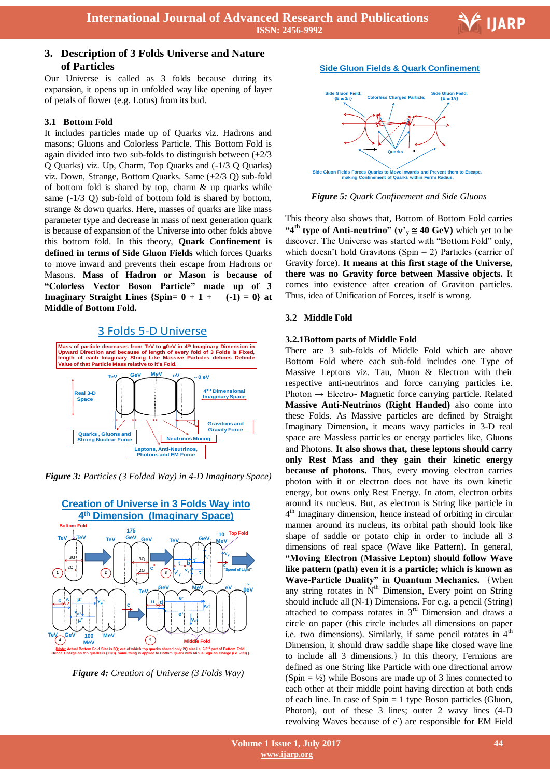

Ξ

# **3. Description of 3 Folds Universe and Nature of Particles**

Our Universe is called as 3 folds because during its expansion, it opens up in unfolded way like opening of layer of petals of flower (e.g. Lotus) from its bud.

#### **3.1 Bottom Fold**

It includes particles made up of Quarks viz. Hadrons and masons; Gluons and Colorless Particle. This Bottom Fold is again divided into two sub-folds to distinguish between  $(+2/3)$ Q Quarks) viz. Up, Charm, Top Quarks and (-1/3 Q Quarks) viz. Down, Strange, Bottom Quarks. Same (+2/3 Q) sub-fold of bottom fold is shared by top, charm  $\&$  up quarks while same (-1/3 Q) sub-fold of bottom fold is shared by bottom, strange & down quarks. Here, masses of quarks are like mass parameter type and decrease in mass of next generation quark is because of expansion of the Universe into other folds above this bottom fold. In this theory, **Quark Confinement is defined in terms of Side Gluon Fields** which forces Quarks to move inward and prevents their escape from Hadrons or Masons. **Mass of Hadron or Mason is because of "Colorless Vector Boson Particle" made up of 3 Imaginary Straight Lines**  ${\text{Spin= 0 + 1 + (-1) = 0}}$  at **Middle of Bottom Fold.**

#### 3 Folds 5-D Universe



*Figure 3: Particles (3 Folded Way) in 4-D Imaginary Space)*



*Figure 4: Creation of Universe (3 Folds Way)*

#### **Side Gluon Fields & Quark Confinement**



*Figure 5: Quark Confinement and Side Gluons*

This theory also shows that, Bottom of Bottom Fold carries "4<sup>th</sup> **type of Anti-neutrino"** ( $v_y \approx 40$  GeV) which yet to be discover. The Universe was started with "Bottom Fold" only, which doesn't hold Gravitons (Spin  $= 2$ ) Particles (carrier of Gravity force). **It means at this first stage of the Universe, there was no Gravity force between Massive objects.** It comes into existence after creation of Graviton particles. Thus, idea of Unification of Forces, itself is wrong.

#### **3.2 Middle Fold**

#### **3.2.1Bottom parts of Middle Fold**

There are 3 sub-folds of Middle Fold which are above Bottom Fold where each sub-fold includes one Type of Massive Leptons viz. Tau, Muon & Electron with their respective anti-neutrinos and force carrying particles i.e. Photon  $\rightarrow$  Electro-Magnetic force carrying particle. Related **Massive Anti-Neutrinos (Right Handed)** also come into these Folds. As Massive particles are defined by Straight Imaginary Dimension, it means wavy particles in 3-D real space are Massless particles or energy particles like, Gluons and Photons. **It also shows that, these leptons should carry only Rest Mass and they gain their kinetic energy because of photons.** Thus, every moving electron carries photon with it or electron does not have its own kinetic energy, but owns only Rest Energy. In atom, electron orbits around its nucleus. But, as electron is String like particle in 4 th Imaginary dimension, hence instead of orbiting in circular manner around its nucleus, its orbital path should look like shape of saddle or potato chip in order to include all 3 dimensions of real space (Wave like Pattern). In general, **"Moving Electron (Massive Lepton) should follow Wave like pattern (path) even it is a particle; which is known as Wave-Particle Duality" in Quantum Mechanics.** {When any string rotates in  $N^{th}$  Dimension, Every point on String should include all (N-1) Dimensions. For e.g. a pencil (String) attached to compass rotates in 3rd Dimension and draws a circle on paper (this circle includes all dimensions on paper i.e. two dimensions). Similarly, if same pencil rotates in  $4<sup>th</sup>$ Dimension, it should draw saddle shape like closed wave line to include all 3 dimensions.} In this theory, Fermions are defined as one String like Particle with one directional arrow  $(Spin = ½)$  while Bosons are made up of 3 lines connected to each other at their middle point having direction at both ends of each line. In case of Spin = 1 type Boson particles (Gluon, Photon), out of these 3 lines; outer 2 wavy lines (4-D revolving Waves because of e<sup>-</sup>) are responsible for EM Field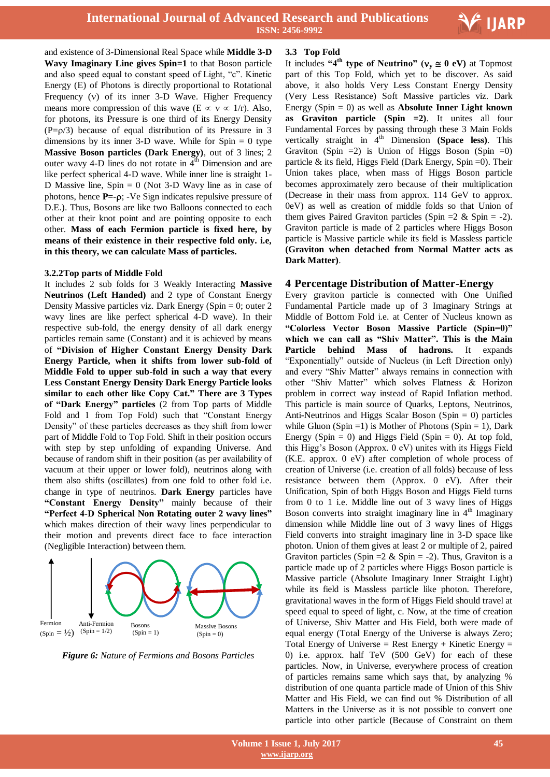

Ξ

and existence of 3-Dimensional Real Space while **Middle 3-D Wavy Imaginary Line gives Spin=1** to that Boson particle and also speed equal to constant speed of Light, "c". Kinetic Energy (E) of Photons is directly proportional to Rotational Frequency  $(v)$  of its inner 3-D Wave. Higher Frequency means more compression of this wave (E  $\propto$  v  $\propto$  1/r). Also, for photons, its Pressure is one third of its Energy Density  $(P=p/3)$  because of equal distribution of its Pressure in 3 dimensions by its inner 3-D wave. While for  $Spin = 0$  type **Massive Boson particles (Dark Energy)**, out of 3 lines; 2 outer wavy 4-D lines do not rotate in  $4<sup>th</sup>$  Dimension and are like perfect spherical 4-D wave. While inner line is straight 1- D Massive line,  $Spin = 0$  (Not 3-D Wavy line as in case of photons, hence **P**=-ρ; -Ve Sign indicates repulsive pressure of D.E.). Thus, Bosons are like two Balloons connected to each other at their knot point and are pointing opposite to each other. **Mass of each Fermion particle is fixed here, by means of their existence in their respective fold only. i.e, in this theory, we can calculate Mass of particles.**

#### **3.2.2Top parts of Middle Fold**

It includes 2 sub folds for 3 Weakly Interacting **Massive Neutrinos (Left Handed)** and 2 type of Constant Energy Density Massive particles viz. Dark Energy (Spin  $= 0$ ; outer 2 wavy lines are like perfect spherical 4-D wave). In their respective sub-fold, the energy density of all dark energy particles remain same (Constant) and it is achieved by means of **"Division of Higher Constant Energy Density Dark Energy Particle, when it shifts from lower sub-fold of Middle Fold to upper sub-fold in such a way that every Less Constant Energy Density Dark Energy Particle looks similar to each other like Copy Cat." There are 3 Types of "Dark Energy" particles** (2 from Top parts of Middle Fold and 1 from Top Fold) such that "Constant Energy Density" of these particles decreases as they shift from lower part of Middle Fold to Top Fold. Shift in their position occurs with step by step unfolding of expanding Universe. And because of random shift in their position (as per availability of vacuum at their upper or lower fold), neutrinos along with them also shifts (oscillates) from one fold to other fold i.e. change in type of neutrinos. **Dark Energy** particles have **"Constant Energy Density"** mainly because of their **"Perfect 4-D Spherical Non Rotating outer 2 wavy lines"** which makes direction of their wavy lines perpendicular to their motion and prevents direct face to face interaction (Negligible Interaction) between them.



*Figure 6: Nature of Fermions and Bosons Particles*

#### **3.3 Top Fold**

It includes "4<sup>th</sup> **type of Neutrino"** ( $v_y \approx 0$  eV) at Topmost part of this Top Fold, which yet to be discover. As said above, it also holds Very Less Constant Energy Density (Very Less Resistance) Soft Massive particles viz. Dark Energy (Spin = 0) as well as **Absolute Inner Light known as Graviton particle (Spin =2)**. It unites all four Fundamental Forces by passing through these 3 Main Folds vertically straight in  $4<sup>th</sup>$  Dimension **(Space less)**. This Graviton (Spin  $=2$ ) is Union of Higgs Boson (Spin  $=0$ ) particle & its field, Higgs Field (Dark Energy, Spin =0). Their Union takes place, when mass of Higgs Boson particle becomes approximately zero because of their multiplication (Decrease in their mass from approx. 114 GeV to approx. 0eV) as well as creation of middle folds so that Union of them gives Paired Graviton particles (Spin  $=2$  & Spin  $= -2$ ). Graviton particle is made of 2 particles where Higgs Boson particle is Massive particle while its field is Massless particle **(Graviton when detached from Normal Matter acts as Dark Matter)**.

## **4 Percentage Distribution of Matter-Energy**

Every graviton particle is connected with One Unified Fundamental Particle made up of 3 Imaginary Strings at Middle of Bottom Fold i.e. at Center of Nucleus known as **"Colorless Vector Boson Massive Particle (Spin=0)" which we can call as "Shiv Matter". This is the Main Particle behind Mass of hadrons.** It expands "Exponentially" outside of Nucleus (in Left Direction only) and every "Shiv Matter" always remains in connection with other "Shiv Matter" which solves Flatness & Horizon problem in correct way instead of Rapid Inflation method. This particle is main source of Quarks, Leptons, Neutrinos, Anti-Neutrinos and Higgs Scalar Boson (Spin = 0) particles while Gluon (Spin = 1) is Mother of Photons (Spin = 1), Dark Energy (Spin  $= 0$ ) and Higgs Field (Spin  $= 0$ ). At top fold, this Higg's Boson (Approx. 0 eV) unites with its Higgs Field (K.E. approx. 0 eV) after completion of whole process of creation of Universe (i.e. creation of all folds) because of less resistance between them (Approx. 0 eV). After their Unification, Spin of both Higgs Boson and Higgs Field turns from 0 to 1 i.e. Middle line out of 3 wavy lines of Higgs Boson converts into straight imaginary line in  $4<sup>th</sup>$  Imaginary dimension while Middle line out of 3 wavy lines of Higgs Field converts into straight imaginary line in 3-D space like photon. Union of them gives at least 2 or multiple of 2, paired Graviton particles (Spin =  $2 \&$  Spin =  $-2$ ). Thus, Graviton is a particle made up of 2 particles where Higgs Boson particle is Massive particle (Absolute Imaginary Inner Straight Light) while its field is Massless particle like photon. Therefore, gravitational waves in the form of Higgs Field should travel at speed equal to speed of light, c. Now, at the time of creation of Universe, Shiv Matter and His Field, both were made of equal energy (Total Energy of the Universe is always Zero; Total Energy of Universe = Rest Energy + Kinetic Energy = 0) i.e. approx. half TeV (500 GeV) for each of these particles. Now, in Universe, everywhere process of creation of particles remains same which says that, by analyzing % distribution of one quanta particle made of Union of this Shiv Matter and His Field, we can find out % Distribution of all Matters in the Universe as it is not possible to convert one particle into other particle (Because of Constraint on them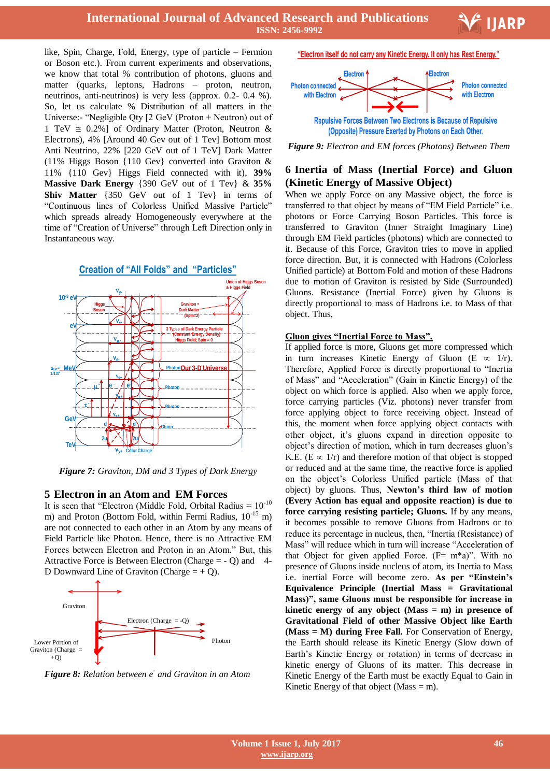like, Spin, Charge, Fold, Energy, type of particle – Fermion or Boson etc.). From current experiments and observations, we know that total % contribution of photons, gluons and matter (quarks, leptons, Hadrons – proton, neutron, neutrinos, anti-neutrinos) is very less (approx. 0.2- 0.4 %). So, let us calculate % Distribution of all matters in the Universe:- "Negligible Qty [2 GeV (Proton + Neutron) out of 1 TeV  $\approx 0.2\%$ ] of Ordinary Matter (Proton, Neutron & Electrons), 4% [Around 40 Gev out of 1 Tev] Bottom most Anti Neutrino, 22% [220 GeV out of 1 TeV] Dark Matter (11% Higgs Boson {110 Gev} converted into Graviton & 11% {110 Gev} Higgs Field connected with it), **39% Massive Dark Energy** {390 GeV out of 1 Tev} & **35% Shiv Matter** {350 GeV out of 1 Tev} in terms of "Continuous lines of Colorless Unified Massive Particle" which spreads already Homogeneously everywhere at the time of "Creation of Universe" through Left Direction only in Instantaneous way.



*Figure 7: Graviton, DM and 3 Types of Dark Energy*

#### **5 Electron in an Atom and EM Forces**

It is seen that "Electron (Middle Fold, Orbital Radius =  $10^{-10}$ m) and Proton (Bottom Fold, within Fermi Radius,  $10^{-15}$  m) are not connected to each other in an Atom by any means of Field Particle like Photon. Hence, there is no Attractive EM Forces between Electron and Proton in an Atom." But, this Attractive Force is Between Electron (Charge = - Q) and 4- D Downward Line of Graviton (Charge  $= +Q$ ).



*Figure 8: Relation between e-and Graviton in an Atom*

"Electron itself do not carry any Kinetic Energy. It only has Rest Energy."

**E** IJARP



(Opposite) Pressure Exerted by Photons on Each Other.

*Figure 9: Electron and EM forces (Photons) Between Them*

## **6 Inertia of Mass (Inertial Force) and Gluon (Kinetic Energy of Massive Object)**

When we apply Force on any Massive object, the force is transferred to that object by means of "EM Field Particle" i.e. photons or Force Carrying Boson Particles. This force is transferred to Graviton (Inner Straight Imaginary Line) through EM Field particles (photons) which are connected to it. Because of this Force, Graviton tries to move in applied force direction. But, it is connected with Hadrons (Colorless Unified particle) at Bottom Fold and motion of these Hadrons due to motion of Graviton is resisted by Side (Surrounded) Gluons. Resistance (Inertial Force) given by Gluons is directly proportional to mass of Hadrons i.e. to Mass of that object. Thus,

#### **Gluon gives "Inertial Force to Mass".**

If applied force is more, Gluons get more compressed which in turn increases Kinetic Energy of Gluon (E  $\propto$  1/r). Therefore, Applied Force is directly proportional to "Inertia of Mass" and "Acceleration" (Gain in Kinetic Energy) of the object on which force is applied. Also when we apply force, force carrying particles (Viz. photons) never transfer from force applying object to force receiving object. Instead of this, the moment when force applying object contacts with other object, it's gluons expand in direction opposite to object's direction of motion, which in turn decreases gluon's K.E. ( $E \propto 1/r$ ) and therefore motion of that object is stopped or reduced and at the same time, the reactive force is applied on the object's Colorless Unified particle (Mass of that object) by gluons. Thus, **Newton's third law of motion (Every Action has equal and opposite reaction) is due to force carrying resisting particle; Gluons.** If by any means, it becomes possible to remove Gluons from Hadrons or to reduce its percentage in nucleus, then, "Inertia (Resistance) of Mass" will reduce which in turn will increase "Acceleration of that Object for given applied Force.  $(F= m^*a)$ ". With no presence of Gluons inside nucleus of atom, its Inertia to Mass i.e. inertial Force will become zero. **As per "Einstein's Equivalence Principle (Inertial Mass = Gravitational Mass)", same Gluons must be responsible for increase in kinetic energy of any object (Mass = m) in presence of Gravitational Field of other Massive Object like Earth (Mass = M) during Free Fall.** For Conservation of Energy, the Earth should release its Kinetic Energy (Slow down of Earth's Kinetic Energy or rotation) in terms of decrease in kinetic energy of Gluons of its matter. This decrease in Kinetic Energy of the Earth must be exactly Equal to Gain in Kinetic Energy of that object ( $Mass = m$ ).